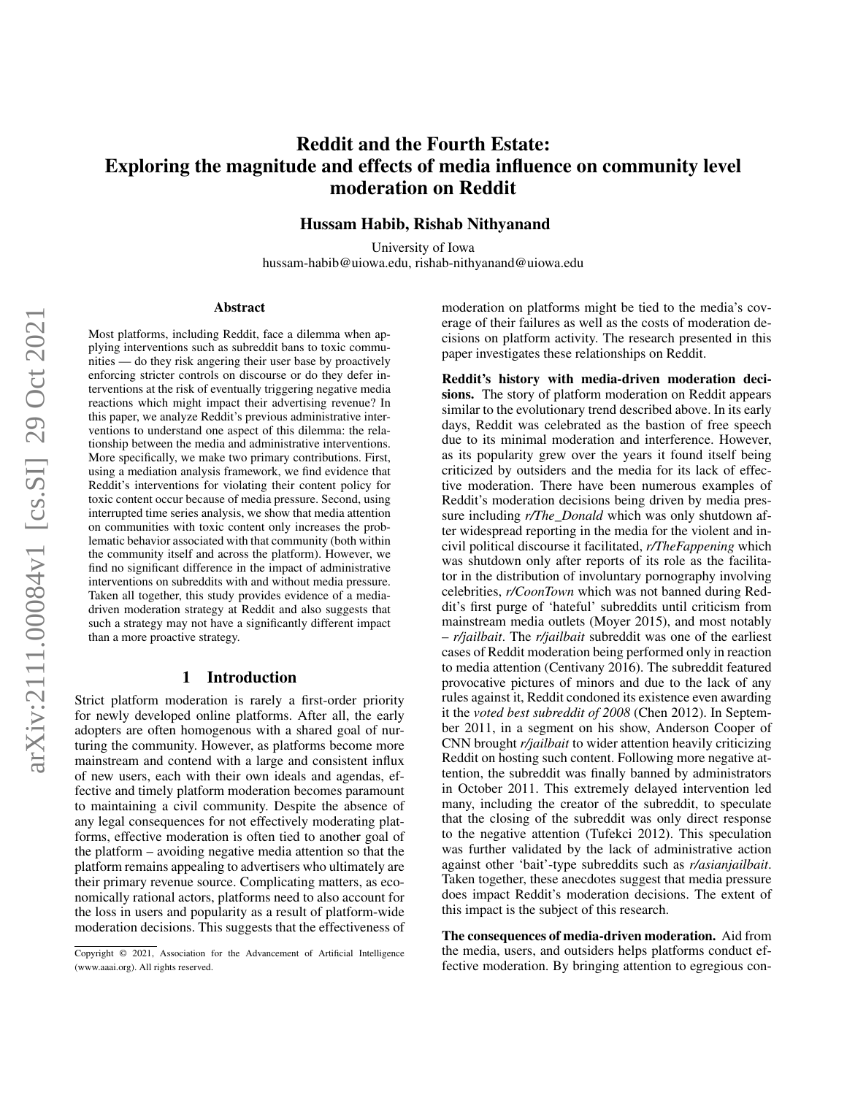# Reddit and the Fourth Estate: Exploring the magnitude and effects of media influence on community level moderation on Reddit

Hussam Habib, Rishab Nithyanand

University of Iowa hussam-habib@uiowa.edu, rishab-nithyanand@uiowa.edu

#### Abstract

Most platforms, including Reddit, face a dilemma when applying interventions such as subreddit bans to toxic communities — do they risk angering their user base by proactively enforcing stricter controls on discourse or do they defer interventions at the risk of eventually triggering negative media reactions which might impact their advertising revenue? In this paper, we analyze Reddit's previous administrative interventions to understand one aspect of this dilemma: the relationship between the media and administrative interventions. More specifically, we make two primary contributions. First, using a mediation analysis framework, we find evidence that Reddit's interventions for violating their content policy for toxic content occur because of media pressure. Second, using interrupted time series analysis, we show that media attention on communities with toxic content only increases the problematic behavior associated with that community (both within the community itself and across the platform). However, we find no significant difference in the impact of administrative interventions on subreddits with and without media pressure. Taken all together, this study provides evidence of a mediadriven moderation strategy at Reddit and also suggests that such a strategy may not have a significantly different impact than a more proactive strategy.

### 1 Introduction

Strict platform moderation is rarely a first-order priority for newly developed online platforms. After all, the early adopters are often homogenous with a shared goal of nurturing the community. However, as platforms become more mainstream and contend with a large and consistent influx of new users, each with their own ideals and agendas, effective and timely platform moderation becomes paramount to maintaining a civil community. Despite the absence of any legal consequences for not effectively moderating platforms, effective moderation is often tied to another goal of the platform – avoiding negative media attention so that the platform remains appealing to advertisers who ultimately are their primary revenue source. Complicating matters, as economically rational actors, platforms need to also account for the loss in users and popularity as a result of platform-wide moderation decisions. This suggests that the effectiveness of

moderation on platforms might be tied to the media's coverage of their failures as well as the costs of moderation decisions on platform activity. The research presented in this paper investigates these relationships on Reddit.

Reddit's history with media-driven moderation decisions. The story of platform moderation on Reddit appears similar to the evolutionary trend described above. In its early days, Reddit was celebrated as the bastion of free speech due to its minimal moderation and interference. However, as its popularity grew over the years it found itself being criticized by outsiders and the media for its lack of effective moderation. There have been numerous examples of Reddit's moderation decisions being driven by media pressure including *r/The\_Donald* which was only shutdown after widespread reporting in the media for the violent and incivil political discourse it facilitated, *r/TheFappening* which was shutdown only after reports of its role as the facilitator in the distribution of involuntary pornography involving celebrities, *r/CoonTown* which was not banned during Reddit's first purge of 'hateful' subreddits until criticism from mainstream media outlets (Moyer 2015), and most notably – *r/jailbait*. The *r/jailbait* subreddit was one of the earliest cases of Reddit moderation being performed only in reaction to media attention (Centivany 2016). The subreddit featured provocative pictures of minors and due to the lack of any rules against it, Reddit condoned its existence even awarding it the *voted best subreddit of 2008* (Chen 2012). In September 2011, in a segment on his show, Anderson Cooper of CNN brought *r/jailbait* to wider attention heavily criticizing Reddit on hosting such content. Following more negative attention, the subreddit was finally banned by administrators in October 2011. This extremely delayed intervention led many, including the creator of the subreddit, to speculate that the closing of the subreddit was only direct response to the negative attention (Tufekci 2012). This speculation was further validated by the lack of administrative action against other 'bait'-type subreddits such as *r/asianjailbait*. Taken together, these anecdotes suggest that media pressure does impact Reddit's moderation decisions. The extent of this impact is the subject of this research.

The consequences of media-driven moderation. Aid from the media, users, and outsiders helps platforms conduct effective moderation. By bringing attention to egregious con-

Copyright © 2021, Association for the Advancement of Artificial Intelligence (www.aaai.org). All rights reserved.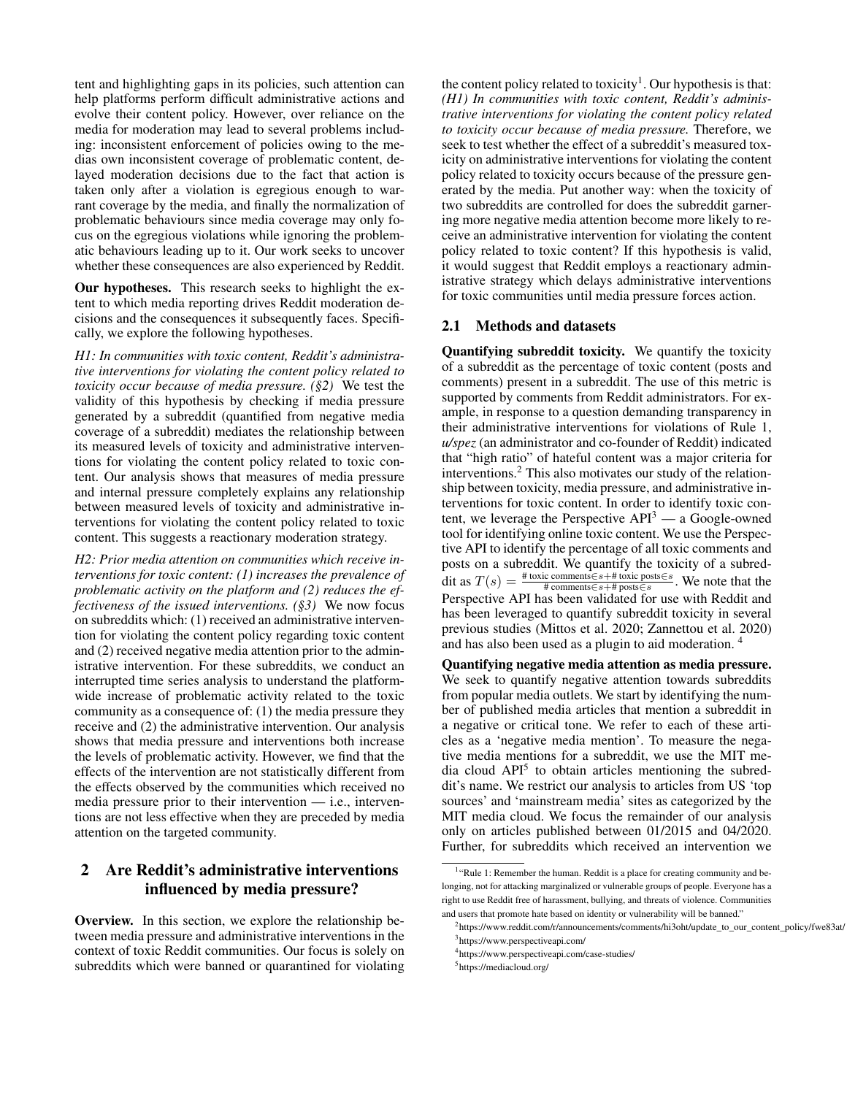tent and highlighting gaps in its policies, such attention can help platforms perform difficult administrative actions and evolve their content policy. However, over reliance on the media for moderation may lead to several problems including: inconsistent enforcement of policies owing to the medias own inconsistent coverage of problematic content, delayed moderation decisions due to the fact that action is taken only after a violation is egregious enough to warrant coverage by the media, and finally the normalization of problematic behaviours since media coverage may only focus on the egregious violations while ignoring the problematic behaviours leading up to it. Our work seeks to uncover whether these consequences are also experienced by Reddit.

Our hypotheses. This research seeks to highlight the extent to which media reporting drives Reddit moderation decisions and the consequences it subsequently faces. Specifically, we explore the following hypotheses.

*H1: In communities with toxic content, Reddit's administrative interventions for violating the content policy related to toxicity occur because of media pressure. (§2)* We test the validity of this hypothesis by checking if media pressure generated by a subreddit (quantified from negative media coverage of a subreddit) mediates the relationship between its measured levels of toxicity and administrative interventions for violating the content policy related to toxic content. Our analysis shows that measures of media pressure and internal pressure completely explains any relationship between measured levels of toxicity and administrative interventions for violating the content policy related to toxic content. This suggests a reactionary moderation strategy.

*H2: Prior media attention on communities which receive interventions for toxic content: (1) increases the prevalence of problematic activity on the platform and (2) reduces the effectiveness of the issued interventions. (§3)* We now focus on subreddits which: (1) received an administrative intervention for violating the content policy regarding toxic content and (2) received negative media attention prior to the administrative intervention. For these subreddits, we conduct an interrupted time series analysis to understand the platformwide increase of problematic activity related to the toxic community as a consequence of: (1) the media pressure they receive and (2) the administrative intervention. Our analysis shows that media pressure and interventions both increase the levels of problematic activity. However, we find that the effects of the intervention are not statistically different from the effects observed by the communities which received no media pressure prior to their intervention  $-$  i.e., interventions are not less effective when they are preceded by media attention on the targeted community.

## 2 Are Reddit's administrative interventions influenced by media pressure?

Overview. In this section, we explore the relationship between media pressure and administrative interventions in the context of toxic Reddit communities. Our focus is solely on subreddits which were banned or quarantined for violating

the content policy related to toxicity<sup>1</sup>. Our hypothesis is that: *(H1) In communities with toxic content, Reddit's administrative interventions for violating the content policy related to toxicity occur because of media pressure.* Therefore, we seek to test whether the effect of a subreddit's measured toxicity on administrative interventions for violating the content policy related to toxicity occurs because of the pressure generated by the media. Put another way: when the toxicity of two subreddits are controlled for does the subreddit garnering more negative media attention become more likely to receive an administrative intervention for violating the content policy related to toxic content? If this hypothesis is valid, it would suggest that Reddit employs a reactionary administrative strategy which delays administrative interventions for toxic communities until media pressure forces action.

### 2.1 Methods and datasets

Quantifying subreddit toxicity. We quantify the toxicity of a subreddit as the percentage of toxic content (posts and comments) present in a subreddit. The use of this metric is supported by comments from Reddit administrators. For example, in response to a question demanding transparency in their administrative interventions for violations of Rule 1, *u/spez* (an administrator and co-founder of Reddit) indicated that "high ratio" of hateful content was a major criteria for interventions.<sup>2</sup> This also motivates our study of the relationship between toxicity, media pressure, and administrative interventions for toxic content. In order to identify toxic content, we leverage the Perspective  $API<sup>3</sup>$  — a Google-owned tool for identifying online toxic content. We use the Perspective API to identify the percentage of all toxic comments and posts on a subreddit. We quantify the toxicity of a subreddit as  $T(s) = \frac{\text{\# toxic comments} \in s + \text{\# toxic posts} \in s}{\text{\# comments} \in s + \text{\# posts} \in s}$ . We note that the Perspective API has been validated for use with Reddit and has been leveraged to quantify subreddit toxicity in several previous studies (Mittos et al. 2020; Zannettou et al. 2020) and has also been used as a plugin to aid moderation. <sup>4</sup>

Quantifying negative media attention as media pressure. We seek to quantify negative attention towards subreddits from popular media outlets. We start by identifying the number of published media articles that mention a subreddit in a negative or critical tone. We refer to each of these articles as a 'negative media mention'. To measure the negative media mentions for a subreddit, we use the MIT media cloud API<sup>5</sup> to obtain articles mentioning the subreddit's name. We restrict our analysis to articles from US 'top sources' and 'mainstream media' sites as categorized by the MIT media cloud. We focus the remainder of our analysis only on articles published between 01/2015 and 04/2020. Further, for subreddits which received an intervention we

<sup>&</sup>lt;sup>1</sup>"Rule 1: Remember the human. Reddit is a place for creating community and belonging, not for attacking marginalized or vulnerable groups of people. Everyone has a right to use Reddit free of harassment, bullying, and threats of violence. Communities and users that promote hate based on identity or vulnerability will be banned."

<sup>&</sup>lt;sup>2</sup>https://www.reddit.com/r/announcements/comments/hi3oht/update\_to\_our\_content\_policy/fwe83at/ 3 https://www.perspectiveapi.com/

<sup>4</sup> https://www.perspectiveapi.com/case-studies/

<sup>5</sup>https://mediacloud.org/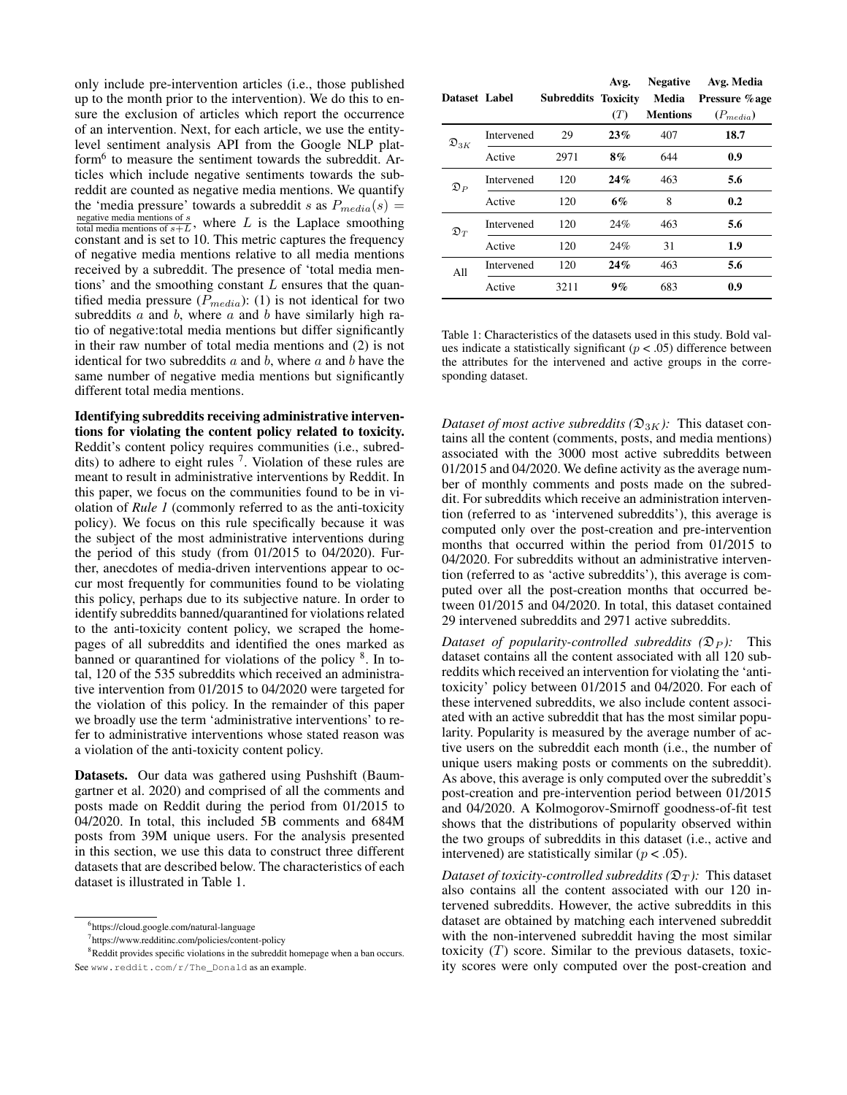only include pre-intervention articles (i.e., those published up to the month prior to the intervention). We do this to ensure the exclusion of articles which report the occurrence of an intervention. Next, for each article, we use the entitylevel sentiment analysis API from the Google NLP platform<sup>6</sup> to measure the sentiment towards the subreddit. Articles which include negative sentiments towards the subreddit are counted as negative media mentions. We quantify the 'media pressure' towards a subreddit s as  $P_{media}(s)$  = negative media mentions of s negative media mentions of  $s$ <sub>+</sub> $L$ , where  $L$  is the Laplace smoothing constant and is set to 10. This metric captures the frequency of negative media mentions relative to all media mentions received by a subreddit. The presence of 'total media mentions' and the smoothing constant  $L$  ensures that the quantified media pressure  $(P_{median})$ : (1) is not identical for two subreddits  $a$  and  $b$ , where  $a$  and  $b$  have similarly high ratio of negative:total media mentions but differ significantly in their raw number of total media mentions and (2) is not identical for two subreddits  $a$  and  $b$ , where  $a$  and  $b$  have the same number of negative media mentions but significantly different total media mentions.

Identifying subreddits receiving administrative interventions for violating the content policy related to toxicity. Reddit's content policy requires communities (i.e., subreddits) to adhere to eight rules  $<sup>7</sup>$ . Violation of these rules are</sup> meant to result in administrative interventions by Reddit. In this paper, we focus on the communities found to be in violation of *Rule 1* (commonly referred to as the anti-toxicity policy). We focus on this rule specifically because it was the subject of the most administrative interventions during the period of this study (from 01/2015 to 04/2020). Further, anecdotes of media-driven interventions appear to occur most frequently for communities found to be violating this policy, perhaps due to its subjective nature. In order to identify subreddits banned/quarantined for violations related to the anti-toxicity content policy, we scraped the homepages of all subreddits and identified the ones marked as banned or quarantined for violations of the policy <sup>8</sup>. In total, 120 of the 535 subreddits which received an administrative intervention from 01/2015 to 04/2020 were targeted for the violation of this policy. In the remainder of this paper we broadly use the term 'administrative interventions' to refer to administrative interventions whose stated reason was a violation of the anti-toxicity content policy.

Datasets. Our data was gathered using Pushshift (Baumgartner et al. 2020) and comprised of all the comments and posts made on Reddit during the period from 01/2015 to 04/2020. In total, this included 5B comments and 684M posts from 39M unique users. For the analysis presented in this section, we use this data to construct three different datasets that are described below. The characteristics of each dataset is illustrated in Table 1.

| Dataset Label       |            | <b>Subreddits Toxicity</b> | Avg.<br>(T) | <b>Negative</b><br>Media<br><b>Mentions</b> | Avg. Media<br>Pressure %age<br>$(P_{media})$ |
|---------------------|------------|----------------------------|-------------|---------------------------------------------|----------------------------------------------|
| $\mathfrak{D}_{3K}$ | Intervened | 29                         | 23%         | 407                                         | 18.7                                         |
|                     | Active     | 2971                       | 8%          | 644                                         | 0.9                                          |
| $\mathfrak{D}_P$    | Intervened | 120                        | 24%         | 463                                         | 5.6                                          |
|                     | Active     | 120                        | 6%          | 8                                           | 0.2                                          |
| $\mathfrak{D}_T$    | Intervened | 120                        | 24%         | 463                                         | 5.6                                          |
|                     | Active     | 120                        | 24%         | 31                                          | 1.9                                          |
| A11                 | Intervened | 120                        | 24%         | 463                                         | 5.6                                          |
|                     | Active     | 3211                       | 9%          | 683                                         | 0.9                                          |

Table 1: Characteristics of the datasets used in this study. Bold values indicate a statistically significant ( $p < .05$ ) difference between the attributes for the intervened and active groups in the corresponding dataset.

*Dataset of most active subreddits* ( $\mathfrak{D}_{3K}$ *)*: This dataset contains all the content (comments, posts, and media mentions) associated with the 3000 most active subreddits between 01/2015 and 04/2020. We define activity as the average number of monthly comments and posts made on the subreddit. For subreddits which receive an administration intervention (referred to as 'intervened subreddits'), this average is computed only over the post-creation and pre-intervention months that occurred within the period from 01/2015 to 04/2020. For subreddits without an administrative intervention (referred to as 'active subreddits'), this average is computed over all the post-creation months that occurred between 01/2015 and 04/2020. In total, this dataset contained 29 intervened subreddits and 2971 active subreddits.

*Dataset of popularity-controlled subreddits*  $(\mathfrak{D}_P)$ *:* This dataset contains all the content associated with all 120 subreddits which received an intervention for violating the 'antitoxicity' policy between 01/2015 and 04/2020. For each of these intervened subreddits, we also include content associated with an active subreddit that has the most similar popularity. Popularity is measured by the average number of active users on the subreddit each month (i.e., the number of unique users making posts or comments on the subreddit). As above, this average is only computed over the subreddit's post-creation and pre-intervention period between 01/2015 and 04/2020. A Kolmogorov-Smirnoff goodness-of-fit test shows that the distributions of popularity observed within the two groups of subreddits in this dataset (i.e., active and intervened) are statistically similar ( $p < .05$ ).

*Dataset of toxicity-controlled subreddits (* $\mathfrak{D}_T$ *):* This dataset also contains all the content associated with our 120 intervened subreddits. However, the active subreddits in this dataset are obtained by matching each intervened subreddit with the non-intervened subreddit having the most similar toxicity  $(T)$  score. Similar to the previous datasets, toxicity scores were only computed over the post-creation and

<sup>6</sup> https://cloud.google.com/natural-language

<sup>7</sup> https://www.redditinc.com/policies/content-policy

<sup>&</sup>lt;sup>8</sup>Reddit provides specific violations in the subreddit homepage when a ban occurs. See www.reddit.com/r/The\_Donald as an example.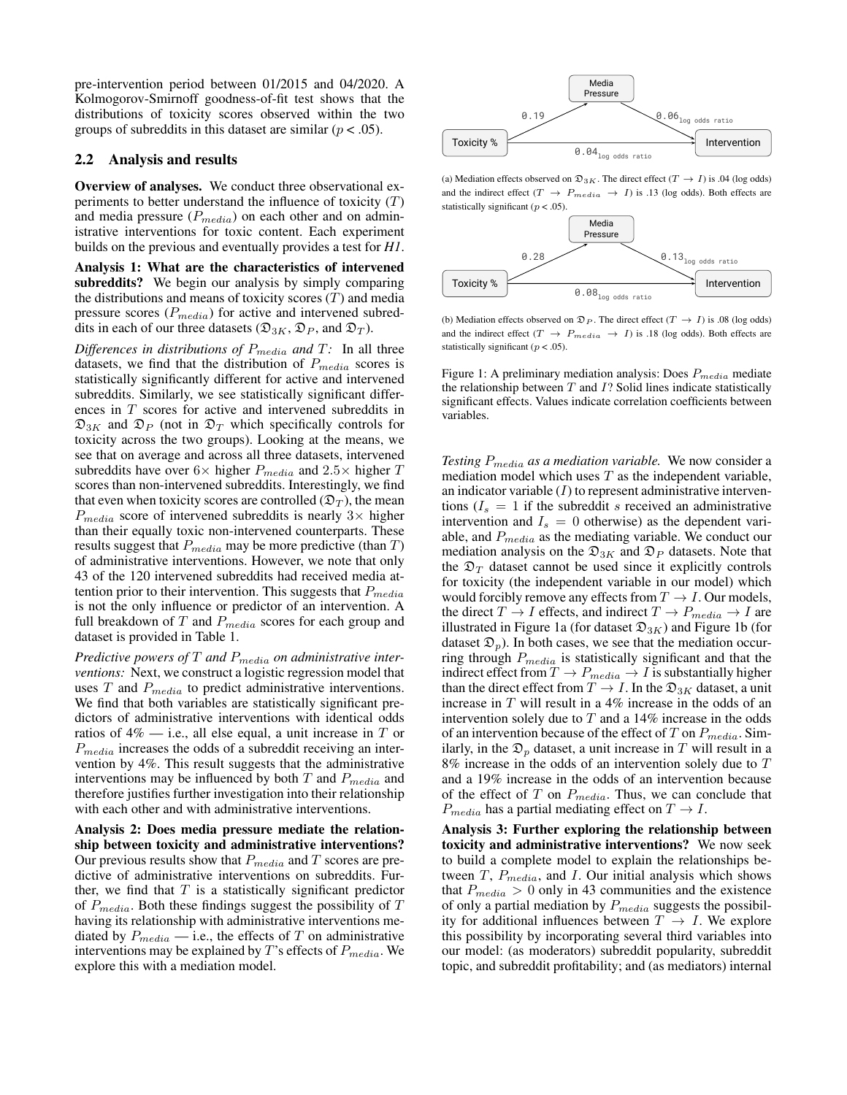pre-intervention period between 01/2015 and 04/2020. A Kolmogorov-Smirnoff goodness-of-fit test shows that the distributions of toxicity scores observed within the two groups of subreddits in this dataset are similar ( $p < .05$ ).

### 2.2 Analysis and results

Overview of analyses. We conduct three observational experiments to better understand the influence of toxicity  $(T)$ and media pressure  $(P_{media})$  on each other and on administrative interventions for toxic content. Each experiment builds on the previous and eventually provides a test for *H1*.

Analysis 1: What are the characteristics of intervened subreddits? We begin our analysis by simply comparing the distributions and means of toxicity scores  $(T)$  and media pressure scores  $(P_{media})$  for active and intervened subreddits in each of our three datasets ( $\mathfrak{D}_{3K}$ ,  $\mathfrak{D}_P$ , and  $\mathfrak{D}_T$ ).

*Differences in distributions of*  $P_{media}$  *and T: In all three* datasets, we find that the distribution of  $P_{media}$  scores is statistically significantly different for active and intervened subreddits. Similarly, we see statistically significant differences in T scores for active and intervened subreddits in  $\mathfrak{D}_{3K}$  and  $\mathfrak{D}_P$  (not in  $\mathfrak{D}_T$  which specifically controls for toxicity across the two groups). Looking at the means, we see that on average and across all three datasets, intervened subreddits have over  $6 \times$  higher  $P_{media}$  and  $2.5 \times$  higher  $T$ scores than non-intervened subreddits. Interestingly, we find that even when toxicity scores are controlled  $(\mathfrak{D}_T)$ , the mean  $P_{media}$  score of intervened subreddits is nearly  $3\times$  higher than their equally toxic non-intervened counterparts. These results suggest that  $P_{media}$  may be more predictive (than  $T$ ) of administrative interventions. However, we note that only 43 of the 120 intervened subreddits had received media attention prior to their intervention. This suggests that  $P_{media}$ is not the only influence or predictor of an intervention. A full breakdown of  $T$  and  $P_{media}$  scores for each group and dataset is provided in Table 1.

*Predictive powers of* T *and* Pmedia *on administrative interventions:* Next, we construct a logistic regression model that uses  $T$  and  $P_{media}$  to predict administrative interventions. We find that both variables are statistically significant predictors of administrative interventions with identical odds ratios of  $4\%$  — i.e., all else equal, a unit increase in T or  $P_{media}$  increases the odds of a subreddit receiving an intervention by 4%. This result suggests that the administrative interventions may be influenced by both  $T$  and  $P_{media}$  and therefore justifies further investigation into their relationship with each other and with administrative interventions.

Analysis 2: Does media pressure mediate the relationship between toxicity and administrative interventions? Our previous results show that  $P_{media}$  and T scores are predictive of administrative interventions on subreddits. Further, we find that  $T$  is a statistically significant predictor of  $P_{media}$ . Both these findings suggest the possibility of  $T$ having its relationship with administrative interventions mediated by  $P_{media}$  — i.e., the effects of T on administrative interventions may be explained by  $T$ 's effects of  $P_{media}$ . We explore this with a mediation model.



(a) Mediation effects observed on  $\mathfrak{D}_{3K}$ . The direct effect  $(T \rightarrow I)$  is .04 (log odds) and the indirect effect  $(T \rightarrow P_{media} \rightarrow I)$  is .13 (log odds). Both effects are statistically significant ( $p < .05$ ).



(b) Mediation effects observed on  $\mathfrak{D}_P$ . The direct effect  $(T \rightarrow I)$  is .08 (log odds) and the indirect effect  $(T \rightarrow P_{media} \rightarrow I)$  is .18 (log odds). Both effects are statistically significant ( $p < .05$ ).

Figure 1: A preliminary mediation analysis: Does  $P_{media}$  mediate the relationship between  $T$  and  $I$ ? Solid lines indicate statistically significant effects. Values indicate correlation coefficients between variables.

*Testing* Pmedia *as a mediation variable.* We now consider a mediation model which uses  $T$  as the independent variable, an indicator variable  $(I)$  to represent administrative interventions  $(I_s = 1$  if the subreddit s received an administrative intervention and  $I_s = 0$  otherwise) as the dependent variable, and  $P_{media}$  as the mediating variable. We conduct our mediation analysis on the  $\mathfrak{D}_{3K}$  and  $\mathfrak{D}_P$  datasets. Note that the  $\mathfrak{D}_T$  dataset cannot be used since it explicitly controls for toxicity (the independent variable in our model) which would forcibly remove any effects from  $T \to I$ . Our models, the direct  $T \to I$  effects, and indirect  $T \to P_{media} \to I$  are illustrated in Figure 1a (for dataset  $\mathfrak{D}_{3K}$ ) and Figure 1b (for dataset  $\mathfrak{D}_p$ ). In both cases, we see that the mediation occurring through  $P_{media}$  is statistically significant and that the indirect effect from  $T \to P_{media} \to I$  is substantially higher than the direct effect from  $T \to I$ . In the  $\mathfrak{D}_{3K}$  dataset, a unit increase in T will result in a 4% increase in the odds of an intervention solely due to  $T$  and a 14% increase in the odds of an intervention because of the effect of  $T$  on  $P_{media}$ . Similarly, in the  $\mathfrak{D}_p$  dataset, a unit increase in T will result in a  $8\%$  increase in the odds of an intervention solely due to  $T$ and a 19% increase in the odds of an intervention because of the effect of  $T$  on  $P_{media}$ . Thus, we can conclude that  $P_{media}$  has a partial mediating effect on  $T \rightarrow I$ .

Analysis 3: Further exploring the relationship between toxicity and administrative interventions? We now seek to build a complete model to explain the relationships between  $T$ ,  $P_{media}$ , and I. Our initial analysis which shows that  $P_{media} > 0$  only in 43 communities and the existence of only a partial mediation by  $P_{media}$  suggests the possibility for additional influences between  $T \rightarrow I$ . We explore this possibility by incorporating several third variables into our model: (as moderators) subreddit popularity, subreddit topic, and subreddit profitability; and (as mediators) internal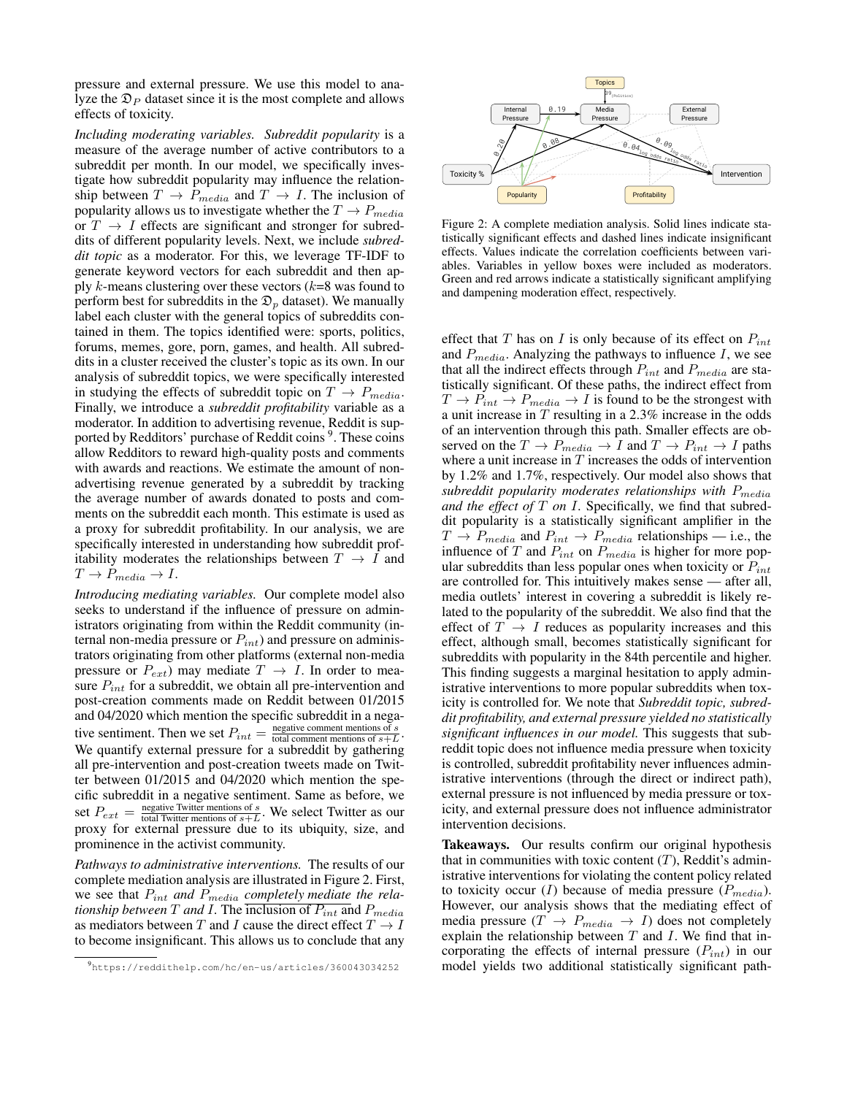pressure and external pressure. We use this model to analyze the  $\mathfrak{D}_P$  dataset since it is the most complete and allows effects of toxicity.

*Including moderating variables. Subreddit popularity* is a measure of the average number of active contributors to a subreddit per month. In our model, we specifically investigate how subreddit popularity may influence the relationship between  $T \rightarrow P_{media}$  and  $T \rightarrow I$ . The inclusion of popularity allows us to investigate whether the  $T \rightarrow P_{media}$ or  $T \rightarrow I$  effects are significant and stronger for subreddits of different popularity levels. Next, we include *subreddit topic* as a moderator. For this, we leverage TF-IDF to generate keyword vectors for each subreddit and then apply  $k$ -means clustering over these vectors ( $k=8$  was found to perform best for subreddits in the  $\mathfrak{D}_p$  dataset). We manually label each cluster with the general topics of subreddits contained in them. The topics identified were: sports, politics, forums, memes, gore, porn, games, and health. All subreddits in a cluster received the cluster's topic as its own. In our analysis of subreddit topics, we were specifically interested in studying the effects of subreddit topic on  $T \rightarrow P_{media}$ . Finally, we introduce a *subreddit profitability* variable as a moderator. In addition to advertising revenue, Reddit is supported by Redditors' purchase of Reddit coins<sup>9</sup>. These coins allow Redditors to reward high-quality posts and comments with awards and reactions. We estimate the amount of nonadvertising revenue generated by a subreddit by tracking the average number of awards donated to posts and comments on the subreddit each month. This estimate is used as a proxy for subreddit profitability. In our analysis, we are specifically interested in understanding how subreddit profitability moderates the relationships between  $T \rightarrow I$  and  $T \rightarrow P_{media} \rightarrow I.$ 

*Introducing mediating variables.* Our complete model also seeks to understand if the influence of pressure on administrators originating from within the Reddit community (internal non-media pressure or  $P_{int}$ ) and pressure on administrators originating from other platforms (external non-media pressure or  $P_{ext}$ ) may mediate  $T \rightarrow I$ . In order to measure  $P_{int}$  for a subreddit, we obtain all pre-intervention and post-creation comments made on Reddit between 01/2015 and 04/2020 which mention the specific subreddit in a negative sentiment. Then we set  $P_{int} = \frac{\text{negative comment mentions of } s}{\text{total comment mentions of } s + L}$ megative comment mentions of  $s + L$ . We quantify external pressure for a subreddit by gathering all pre-intervention and post-creation tweets made on Twitter between 01/2015 and 04/2020 which mention the specific subreddit in a negative sentiment. Same as before, we set  $P_{ext} = \frac{\text{negative Twitter mentions of } s}{\text{total Twitter mentions of } s + L}$  $\frac{\text{negative number menions of } s}{\text{total Twitter mentions of } s + L}$ . We select Twitter as our proxy for external pressure due to its ubiquity, size, and prominence in the activist community.

*Pathways to administrative interventions.* The results of our complete mediation analysis are illustrated in Figure 2. First, we see that Pint *and* Pmedia *completely mediate the relationship between*  $T$  *and*  $I$ . The inclusion of  $P_{int}$  and  $P_{median}$ as mediators between T and I cause the direct effect  $T \rightarrow I$ to become insignificant. This allows us to conclude that any





tistically significant effects and dashed lines indicate insignificant **effects.** Values indicate the correlation coefficients between variboxes **w** l as modera ables. Variables in yellow boxes were included as moderators. Figure 2: A complete mediation analysis. Solid lines indicate sta-Green and red arrows indicate a statistically significant amplifying and dampening moderation effect, respectively.

effect that T has on I is only because of its effect on  $P_{int}$ and  $P_{media}$ . Analyzing the pathways to influence I, we see that all the indirect effects through  $P_{int}$  and  $P_{median}$  are statistically significant. Of these paths, the indirect effect from  $T \rightarrow P_{int} \rightarrow P_{media} \rightarrow I$  is found to be the strongest with a unit increase in  $T$  resulting in a 2.3% increase in the odds of an intervention through this path. Smaller effects are observed on the  $T \to P_{media} \to I$  and  $T \to P_{int} \to I$  paths where a unit increase in  $T$  increases the odds of intervention by 1.2% and 1.7%, respectively. Our model also shows that subreddit popularity moderates relationships with  $P_{media}$ *and the effect of* T *on* I*.* Specifically, we find that subreddit popularity is a statistically significant amplifier in the  $T \rightarrow P_{media}$  and  $P_{int} \rightarrow P_{media}$  relationships — i.e., the influence of T and  $P_{int}$  on  $P_{media}$  is higher for more popular subreddits than less popular ones when toxicity or  $P_{int}$ are controlled for. This intuitively makes sense — after all, media outlets' interest in covering a subreddit is likely related to the popularity of the subreddit. We also find that the effect of  $T \rightarrow I$  reduces as popularity increases and this effect, although small, becomes statistically significant for subreddits with popularity in the 84th percentile and higher. This finding suggests a marginal hesitation to apply administrative interventions to more popular subreddits when toxicity is controlled for. We note that *Subreddit topic, subreddit profitability, and external pressure yielded no statistically significant influences in our model.* This suggests that subreddit topic does not influence media pressure when toxicity is controlled, subreddit profitability never influences administrative interventions (through the direct or indirect path), external pressure is not influenced by media pressure or toxicity, and external pressure does not influence administrator intervention decisions.

Takeaways. Our results confirm our original hypothesis that in communities with toxic content  $(T)$ , Reddit's administrative interventions for violating the content policy related to toxicity occur (I) because of media pressure  $(P_{media})$ . However, our analysis shows that the mediating effect of media pressure  $(T \rightarrow P_{media} \rightarrow I)$  does not completely explain the relationship between  $T$  and  $I$ . We find that incorporating the effects of internal pressure  $(P_{int})$  in our model yields two additional statistically significant path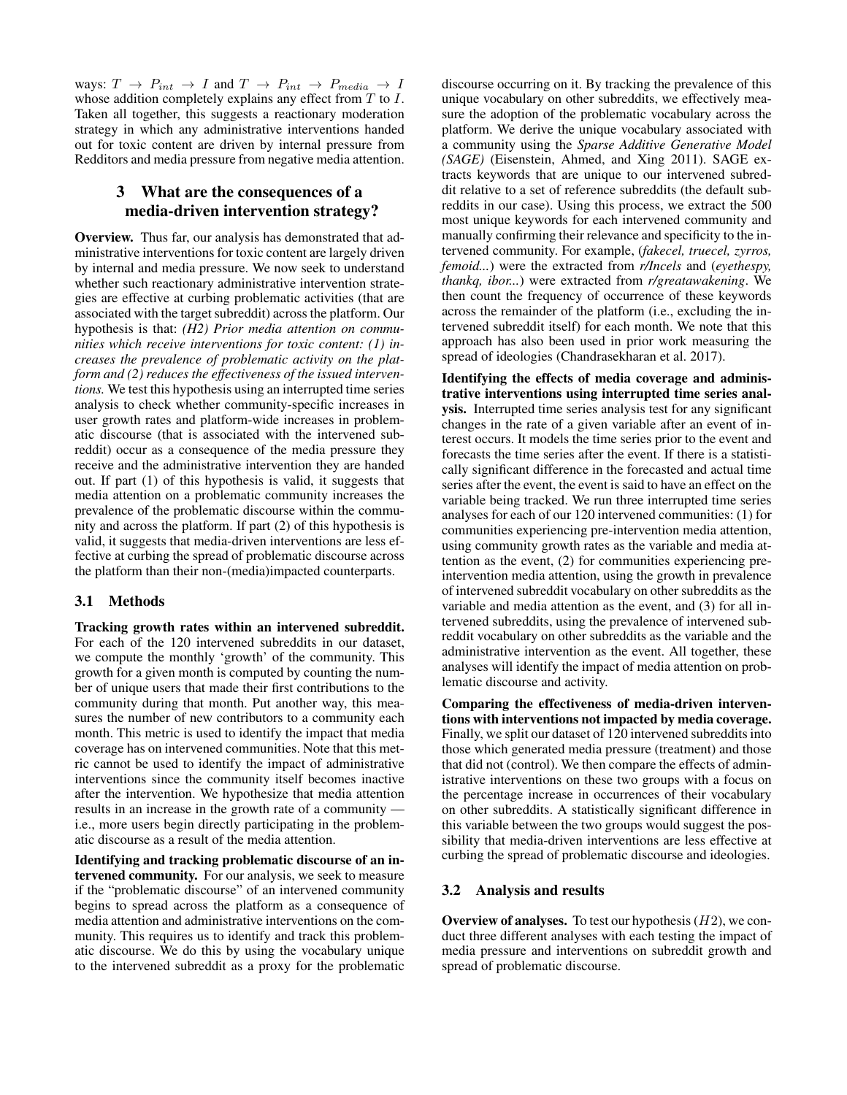ways:  $T \rightarrow P_{int} \rightarrow I$  and  $T \rightarrow P_{int} \rightarrow P_{median} \rightarrow I$ whose addition completely explains any effect from T to I. Taken all together, this suggests a reactionary moderation strategy in which any administrative interventions handed out for toxic content are driven by internal pressure from Redditors and media pressure from negative media attention.

## 3 What are the consequences of a media-driven intervention strategy?

Overview. Thus far, our analysis has demonstrated that administrative interventions for toxic content are largely driven by internal and media pressure. We now seek to understand whether such reactionary administrative intervention strategies are effective at curbing problematic activities (that are associated with the target subreddit) across the platform. Our hypothesis is that: *(H2) Prior media attention on communities which receive interventions for toxic content: (1) increases the prevalence of problematic activity on the platform and (2) reduces the effectiveness of the issued interventions.* We test this hypothesis using an interrupted time series analysis to check whether community-specific increases in user growth rates and platform-wide increases in problematic discourse (that is associated with the intervened subreddit) occur as a consequence of the media pressure they receive and the administrative intervention they are handed out. If part (1) of this hypothesis is valid, it suggests that media attention on a problematic community increases the prevalence of the problematic discourse within the community and across the platform. If part (2) of this hypothesis is valid, it suggests that media-driven interventions are less effective at curbing the spread of problematic discourse across the platform than their non-(media)impacted counterparts.

### 3.1 Methods

Tracking growth rates within an intervened subreddit. For each of the 120 intervened subreddits in our dataset, we compute the monthly 'growth' of the community. This growth for a given month is computed by counting the number of unique users that made their first contributions to the community during that month. Put another way, this measures the number of new contributors to a community each month. This metric is used to identify the impact that media coverage has on intervened communities. Note that this metric cannot be used to identify the impact of administrative interventions since the community itself becomes inactive after the intervention. We hypothesize that media attention results in an increase in the growth rate of a community i.e., more users begin directly participating in the problematic discourse as a result of the media attention.

Identifying and tracking problematic discourse of an intervened community. For our analysis, we seek to measure if the "problematic discourse" of an intervened community begins to spread across the platform as a consequence of media attention and administrative interventions on the community. This requires us to identify and track this problematic discourse. We do this by using the vocabulary unique to the intervened subreddit as a proxy for the problematic discourse occurring on it. By tracking the prevalence of this unique vocabulary on other subreddits, we effectively measure the adoption of the problematic vocabulary across the platform. We derive the unique vocabulary associated with a community using the *Sparse Additive Generative Model (SAGE)* (Eisenstein, Ahmed, and Xing 2011). SAGE extracts keywords that are unique to our intervened subreddit relative to a set of reference subreddits (the default subreddits in our case). Using this process, we extract the 500 most unique keywords for each intervened community and manually confirming their relevance and specificity to the intervened community. For example, (*fakecel, truecel, zyrros, femoid...*) were the extracted from *r/Incels* and (*eyethespy, thankq, ibor...*) were extracted from *r/greatawakening*. We then count the frequency of occurrence of these keywords across the remainder of the platform (i.e., excluding the intervened subreddit itself) for each month. We note that this approach has also been used in prior work measuring the spread of ideologies (Chandrasekharan et al. 2017).

Identifying the effects of media coverage and administrative interventions using interrupted time series analysis. Interrupted time series analysis test for any significant changes in the rate of a given variable after an event of interest occurs. It models the time series prior to the event and forecasts the time series after the event. If there is a statistically significant difference in the forecasted and actual time series after the event, the event is said to have an effect on the variable being tracked. We run three interrupted time series analyses for each of our 120 intervened communities: (1) for communities experiencing pre-intervention media attention, using community growth rates as the variable and media attention as the event, (2) for communities experiencing preintervention media attention, using the growth in prevalence of intervened subreddit vocabulary on other subreddits as the variable and media attention as the event, and (3) for all intervened subreddits, using the prevalence of intervened subreddit vocabulary on other subreddits as the variable and the administrative intervention as the event. All together, these analyses will identify the impact of media attention on problematic discourse and activity.

Comparing the effectiveness of media-driven interventions with interventions not impacted by media coverage. Finally, we split our dataset of 120 intervened subreddits into those which generated media pressure (treatment) and those that did not (control). We then compare the effects of administrative interventions on these two groups with a focus on the percentage increase in occurrences of their vocabulary on other subreddits. A statistically significant difference in this variable between the two groups would suggest the possibility that media-driven interventions are less effective at curbing the spread of problematic discourse and ideologies.

### 3.2 Analysis and results

**Overview of analyses.** To test our hypothesis  $(H2)$ , we conduct three different analyses with each testing the impact of media pressure and interventions on subreddit growth and spread of problematic discourse.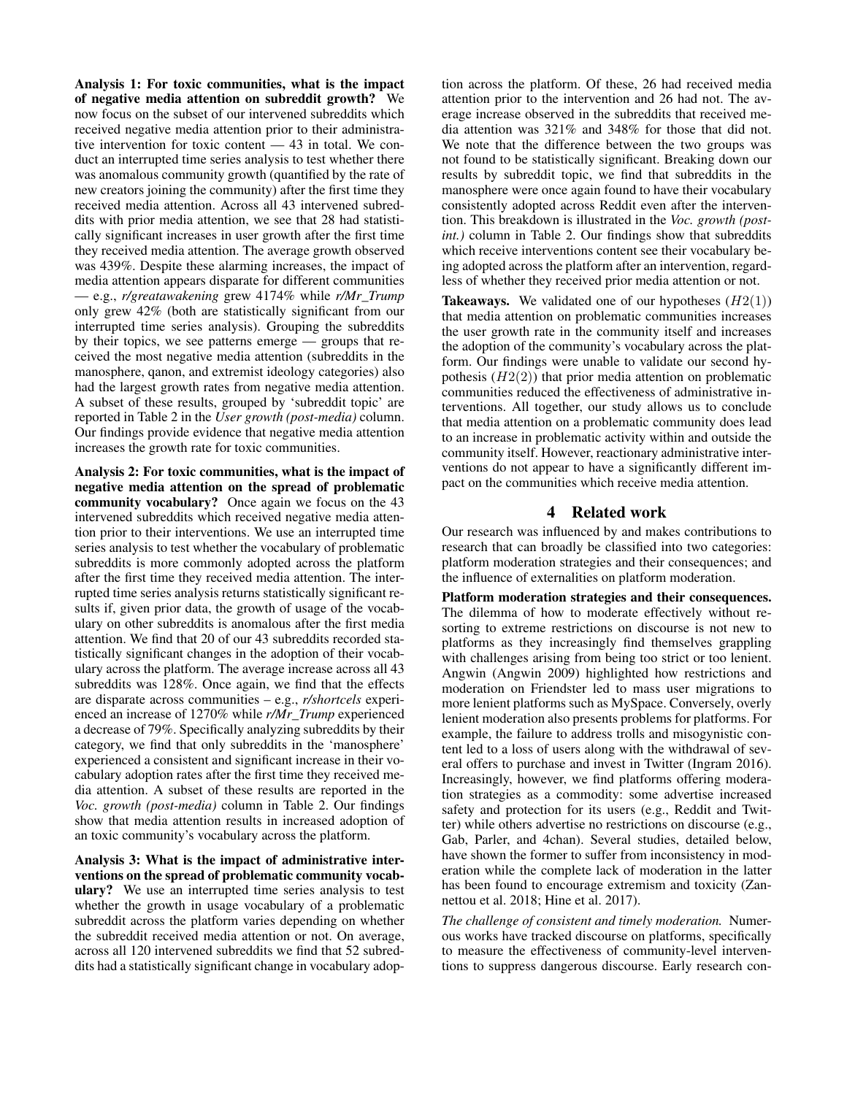Analysis 1: For toxic communities, what is the impact of negative media attention on subreddit growth? We now focus on the subset of our intervened subreddits which received negative media attention prior to their administrative intervention for toxic content — 43 in total. We conduct an interrupted time series analysis to test whether there was anomalous community growth (quantified by the rate of new creators joining the community) after the first time they received media attention. Across all 43 intervened subreddits with prior media attention, we see that 28 had statistically significant increases in user growth after the first time they received media attention. The average growth observed was 439%. Despite these alarming increases, the impact of media attention appears disparate for different communities — e.g., *r/greatawakening* grew 4174% while *r/Mr\_Trump* only grew 42% (both are statistically significant from our interrupted time series analysis). Grouping the subreddits by their topics, we see patterns emerge — groups that received the most negative media attention (subreddits in the manosphere, qanon, and extremist ideology categories) also had the largest growth rates from negative media attention. A subset of these results, grouped by 'subreddit topic' are reported in Table 2 in the *User growth (post-media)* column. Our findings provide evidence that negative media attention increases the growth rate for toxic communities.

Analysis 2: For toxic communities, what is the impact of negative media attention on the spread of problematic community vocabulary? Once again we focus on the 43 intervened subreddits which received negative media attention prior to their interventions. We use an interrupted time series analysis to test whether the vocabulary of problematic subreddits is more commonly adopted across the platform after the first time they received media attention. The interrupted time series analysis returns statistically significant results if, given prior data, the growth of usage of the vocabulary on other subreddits is anomalous after the first media attention. We find that 20 of our 43 subreddits recorded statistically significant changes in the adoption of their vocabulary across the platform. The average increase across all 43 subreddits was 128%. Once again, we find that the effects are disparate across communities – e.g., *r/shortcels* experienced an increase of 1270% while *r/Mr\_Trump* experienced a decrease of 79%. Specifically analyzing subreddits by their category, we find that only subreddits in the 'manosphere' experienced a consistent and significant increase in their vocabulary adoption rates after the first time they received media attention. A subset of these results are reported in the *Voc. growth (post-media)* column in Table 2. Our findings show that media attention results in increased adoption of an toxic community's vocabulary across the platform.

Analysis 3: What is the impact of administrative interventions on the spread of problematic community vocabulary? We use an interrupted time series analysis to test whether the growth in usage vocabulary of a problematic subreddit across the platform varies depending on whether the subreddit received media attention or not. On average, across all 120 intervened subreddits we find that 52 subreddits had a statistically significant change in vocabulary adoption across the platform. Of these, 26 had received media attention prior to the intervention and 26 had not. The average increase observed in the subreddits that received media attention was 321% and 348% for those that did not. We note that the difference between the two groups was not found to be statistically significant. Breaking down our results by subreddit topic, we find that subreddits in the manosphere were once again found to have their vocabulary consistently adopted across Reddit even after the intervention. This breakdown is illustrated in the *Voc. growth (postint.)* column in Table 2. Our findings show that subreddits which receive interventions content see their vocabulary being adopted across the platform after an intervention, regardless of whether they received prior media attention or not.

**Takeaways.** We validated one of our hypotheses  $(H2(1))$ that media attention on problematic communities increases the user growth rate in the community itself and increases the adoption of the community's vocabulary across the platform. Our findings were unable to validate our second hypothesis  $(H2(2))$  that prior media attention on problematic communities reduced the effectiveness of administrative interventions. All together, our study allows us to conclude that media attention on a problematic community does lead to an increase in problematic activity within and outside the community itself. However, reactionary administrative interventions do not appear to have a significantly different impact on the communities which receive media attention.

### 4 Related work

Our research was influenced by and makes contributions to research that can broadly be classified into two categories: platform moderation strategies and their consequences; and the influence of externalities on platform moderation.

Platform moderation strategies and their consequences. The dilemma of how to moderate effectively without resorting to extreme restrictions on discourse is not new to platforms as they increasingly find themselves grappling with challenges arising from being too strict or too lenient. Angwin (Angwin 2009) highlighted how restrictions and moderation on Friendster led to mass user migrations to more lenient platforms such as MySpace. Conversely, overly lenient moderation also presents problems for platforms. For example, the failure to address trolls and misogynistic content led to a loss of users along with the withdrawal of several offers to purchase and invest in Twitter (Ingram 2016). Increasingly, however, we find platforms offering moderation strategies as a commodity: some advertise increased safety and protection for its users (e.g., Reddit and Twitter) while others advertise no restrictions on discourse (e.g., Gab, Parler, and 4chan). Several studies, detailed below, have shown the former to suffer from inconsistency in moderation while the complete lack of moderation in the latter has been found to encourage extremism and toxicity (Zannettou et al. 2018; Hine et al. 2017).

*The challenge of consistent and timely moderation.* Numerous works have tracked discourse on platforms, specifically to measure the effectiveness of community-level interventions to suppress dangerous discourse. Early research con-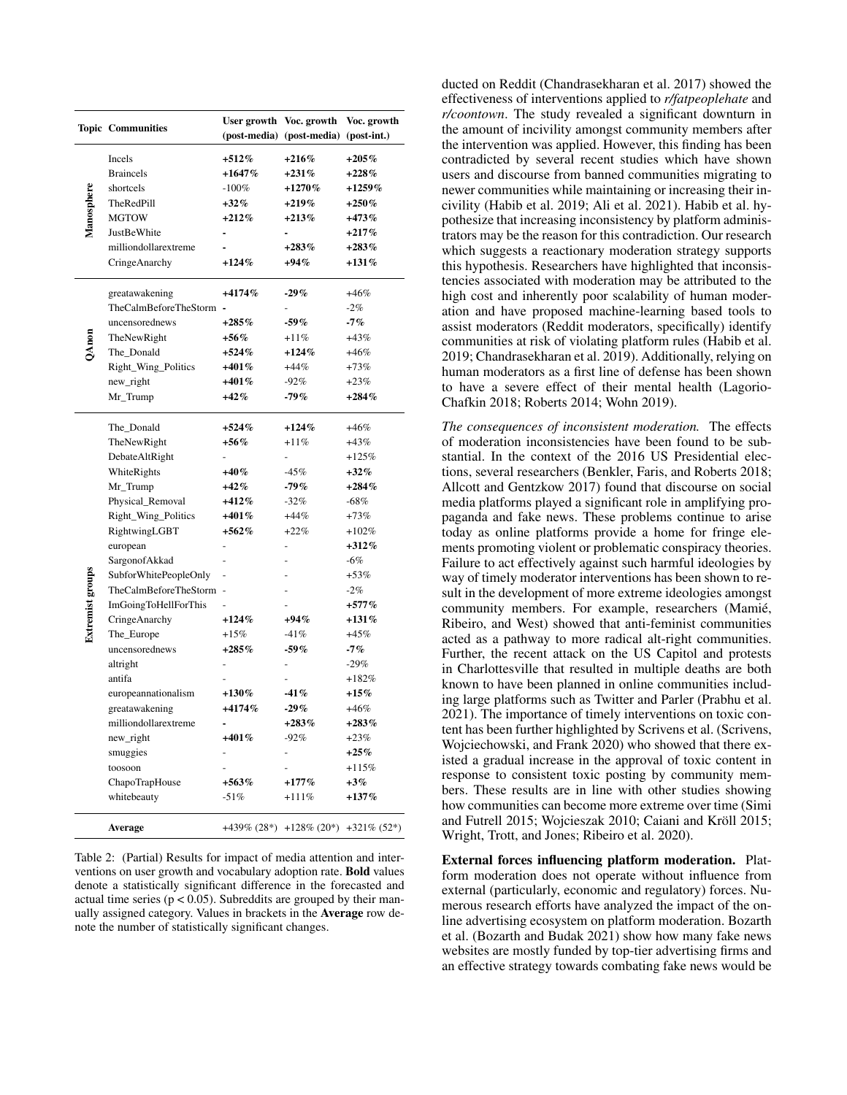|                         | <b>Topic Communities</b> |          | User growth Voc. growth                  | Voc. growth |
|-------------------------|--------------------------|----------|------------------------------------------|-------------|
|                         |                          |          | (post-media) (post-media) (post-int.)    |             |
| Manosphere              | Incels                   | $+512%$  | $+216%$                                  | $+205%$     |
|                         | <b>Braincels</b>         | $+1647%$ | $+231%$                                  | $+228%$     |
|                         | shortcels                | $-100%$  | $+1270%$                                 | $+1259%$    |
|                         | TheRedPill               | $+32\%$  | $+219\%$                                 | $+250\%$    |
|                         | MGTOW                    | $+212\%$ | $+213%$                                  | $+473%$     |
|                         | JustBeWhite              |          |                                          | $+217%$     |
|                         | milliondollarextreme     |          | $+283%$                                  | $+283%$     |
|                         | CringeAnarchy            | $+124%$  | $+94\%$                                  | $+131%$     |
|                         | greatawakening           | $+4174%$ | $-29\%$                                  | $+46%$      |
|                         | TheCalmBeforeTheStorm    |          |                                          | $-2%$       |
|                         | uncensorednews           | $+285\%$ | $-59\%$                                  | $-7%$       |
|                         | TheNewRight              | $+56%$   | $+11%$                                   | $+43%$      |
|                         | The_Donald               | $+524%$  | $+124%$                                  | $+46%$      |
|                         | Right_Wing_Politics      | $+401\%$ | $+44%$                                   | $+73%$      |
|                         | new_right                | $+401\%$ | -92%                                     | $+23%$      |
|                         | Mr_Trump                 | $+42%$   | -79%                                     | $+284\%$    |
|                         |                          |          |                                          |             |
| <b>Extremist groups</b> | The_Donald               | $+524%$  | $+124%$                                  | $+46%$      |
|                         | TheNewRight              | $+56%$   | $+11%$                                   | $+43%$      |
|                         | DebateAltRight           |          |                                          | $+125%$     |
|                         | WhiteRights              | $+40\%$  | $-45%$                                   | $+32\%$     |
|                         | Mr_Trump                 | $+42%$   | -79%                                     | $+284%$     |
|                         | Physical_Removal         | $+412\%$ | $-32%$                                   | $-68%$      |
|                         | Right_Wing_Politics      | $+401\%$ | $+44%$                                   | $+73%$      |
|                         | RightwingLGBT            | $+562%$  | $+22%$                                   | $+102%$     |
|                         | european                 |          |                                          | $+312%$     |
|                         | SargonofAkkad            |          |                                          | $-6\%$      |
|                         | SubforWhitePeopleOnly    |          |                                          | $+53%$      |
|                         | TheCalmBeforeTheStorm -  |          |                                          | $-2%$       |
|                         | ImGoingToHellForThis     |          |                                          | $+577\%$    |
|                         | CringeAnarchy            | $+124%$  | +94%                                     | $+131%$     |
|                         | The_Europe               | $+15%$   | $-41%$                                   | $+45%$      |
|                         | uncensorednews           | $+285\%$ | $-59%$                                   | $-7%$       |
|                         | altright                 |          |                                          | $-29%$      |
|                         | antifa                   |          |                                          | $+182%$     |
|                         | europeannationalism      | $+130\%$ | $-41%$                                   | $+15\%$     |
|                         | greatawakening           | $+4174%$ | $-29%$                                   | $+46%$      |
|                         | milliondollarextreme     |          | $+283%$                                  | $+283%$     |
|                         | new_right                | +401%    | $-92%$                                   | $+23%$      |
|                         | smuggies                 |          |                                          | $+25%$      |
|                         | toosoon                  |          |                                          | $+115%$     |
|                         | ChapoTrapHouse           | $+563\%$ | $+177%$                                  | $+3\%$      |
|                         | whitebeauty              | $-51%$   | $+111%$                                  | $+137%$     |
|                         |                          |          |                                          |             |
|                         | <b>Average</b>           |          | $+439\% (28*) +128\% (20*) +321\% (52*)$ |             |

Table 2: (Partial) Results for impact of media attention and interventions on user growth and vocabulary adoption rate. Bold values denote a statistically significant difference in the forecasted and actual time series ( $p < 0.05$ ). Subreddits are grouped by their manually assigned category. Values in brackets in the Average row denote the number of statistically significant changes.

ducted on Reddit (Chandrasekharan et al. 2017) showed the effectiveness of interventions applied to *r/fatpeoplehate* and *r/coontown*. The study revealed a significant downturn in the amount of incivility amongst community members after the intervention was applied. However, this finding has been contradicted by several recent studies which have shown users and discourse from banned communities migrating to newer communities while maintaining or increasing their incivility (Habib et al. 2019; Ali et al. 2021). Habib et al. hypothesize that increasing inconsistency by platform administrators may be the reason for this contradiction. Our research which suggests a reactionary moderation strategy supports this hypothesis. Researchers have highlighted that inconsistencies associated with moderation may be attributed to the high cost and inherently poor scalability of human moderation and have proposed machine-learning based tools to assist moderators (Reddit moderators, specifically) identify communities at risk of violating platform rules (Habib et al. 2019; Chandrasekharan et al. 2019). Additionally, relying on human moderators as a first line of defense has been shown to have a severe effect of their mental health (Lagorio-Chafkin 2018; Roberts 2014; Wohn 2019).

*The consequences of inconsistent moderation.* The effects of moderation inconsistencies have been found to be substantial. In the context of the 2016 US Presidential elections, several researchers (Benkler, Faris, and Roberts 2018; Allcott and Gentzkow 2017) found that discourse on social media platforms played a significant role in amplifying propaganda and fake news. These problems continue to arise today as online platforms provide a home for fringe elements promoting violent or problematic conspiracy theories. Failure to act effectively against such harmful ideologies by way of timely moderator interventions has been shown to result in the development of more extreme ideologies amongst community members. For example, researchers (Mamié, Ribeiro, and West) showed that anti-feminist communities acted as a pathway to more radical alt-right communities. Further, the recent attack on the US Capitol and protests in Charlottesville that resulted in multiple deaths are both known to have been planned in online communities including large platforms such as Twitter and Parler (Prabhu et al. 2021). The importance of timely interventions on toxic content has been further highlighted by Scrivens et al. (Scrivens, Wojciechowski, and Frank 2020) who showed that there existed a gradual increase in the approval of toxic content in response to consistent toxic posting by community members. These results are in line with other studies showing how communities can become more extreme over time (Simi and Futrell 2015; Wojcieszak 2010; Caiani and Kröll 2015; Wright, Trott, and Jones; Ribeiro et al. 2020).

External forces influencing platform moderation. Platform moderation does not operate without influence from external (particularly, economic and regulatory) forces. Numerous research efforts have analyzed the impact of the online advertising ecosystem on platform moderation. Bozarth et al. (Bozarth and Budak 2021) show how many fake news websites are mostly funded by top-tier advertising firms and an effective strategy towards combating fake news would be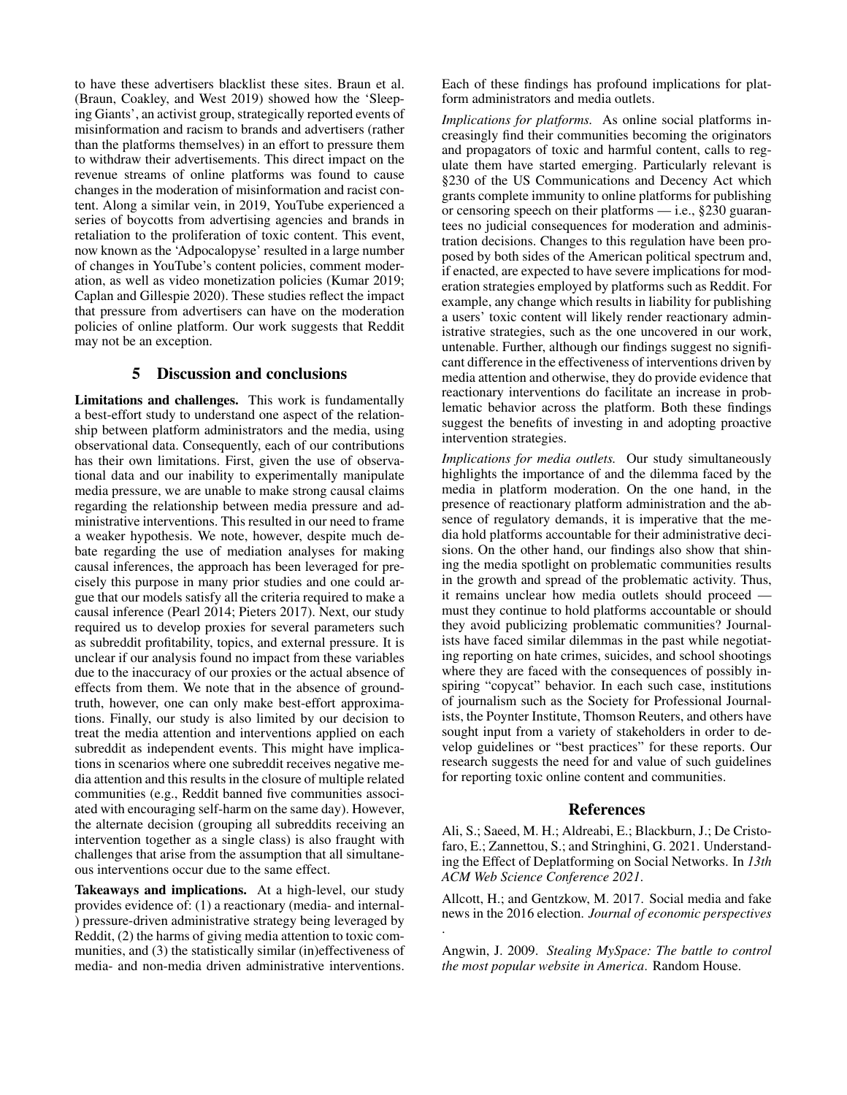to have these advertisers blacklist these sites. Braun et al. (Braun, Coakley, and West 2019) showed how the 'Sleeping Giants', an activist group, strategically reported events of misinformation and racism to brands and advertisers (rather than the platforms themselves) in an effort to pressure them to withdraw their advertisements. This direct impact on the revenue streams of online platforms was found to cause changes in the moderation of misinformation and racist content. Along a similar vein, in 2019, YouTube experienced a series of boycotts from advertising agencies and brands in retaliation to the proliferation of toxic content. This event, now known as the 'Adpocalopyse' resulted in a large number of changes in YouTube's content policies, comment moderation, as well as video monetization policies (Kumar 2019; Caplan and Gillespie 2020). These studies reflect the impact that pressure from advertisers can have on the moderation policies of online platform. Our work suggests that Reddit may not be an exception.

### 5 Discussion and conclusions

Limitations and challenges. This work is fundamentally a best-effort study to understand one aspect of the relationship between platform administrators and the media, using observational data. Consequently, each of our contributions has their own limitations. First, given the use of observational data and our inability to experimentally manipulate media pressure, we are unable to make strong causal claims regarding the relationship between media pressure and administrative interventions. This resulted in our need to frame a weaker hypothesis. We note, however, despite much debate regarding the use of mediation analyses for making causal inferences, the approach has been leveraged for precisely this purpose in many prior studies and one could argue that our models satisfy all the criteria required to make a causal inference (Pearl 2014; Pieters 2017). Next, our study required us to develop proxies for several parameters such as subreddit profitability, topics, and external pressure. It is unclear if our analysis found no impact from these variables due to the inaccuracy of our proxies or the actual absence of effects from them. We note that in the absence of groundtruth, however, one can only make best-effort approximations. Finally, our study is also limited by our decision to treat the media attention and interventions applied on each subreddit as independent events. This might have implications in scenarios where one subreddit receives negative media attention and this results in the closure of multiple related communities (e.g., Reddit banned five communities associated with encouraging self-harm on the same day). However, the alternate decision (grouping all subreddits receiving an intervention together as a single class) is also fraught with challenges that arise from the assumption that all simultaneous interventions occur due to the same effect.

Takeaways and implications. At a high-level, our study provides evidence of: (1) a reactionary (media- and internal- ) pressure-driven administrative strategy being leveraged by Reddit, (2) the harms of giving media attention to toxic communities, and (3) the statistically similar (in)effectiveness of media- and non-media driven administrative interventions.

Each of these findings has profound implications for platform administrators and media outlets.

*Implications for platforms.* As online social platforms increasingly find their communities becoming the originators and propagators of toxic and harmful content, calls to regulate them have started emerging. Particularly relevant is §230 of the US Communications and Decency Act which grants complete immunity to online platforms for publishing or censoring speech on their platforms — i.e., §230 guarantees no judicial consequences for moderation and administration decisions. Changes to this regulation have been proposed by both sides of the American political spectrum and, if enacted, are expected to have severe implications for moderation strategies employed by platforms such as Reddit. For example, any change which results in liability for publishing a users' toxic content will likely render reactionary administrative strategies, such as the one uncovered in our work, untenable. Further, although our findings suggest no significant difference in the effectiveness of interventions driven by media attention and otherwise, they do provide evidence that reactionary interventions do facilitate an increase in problematic behavior across the platform. Both these findings suggest the benefits of investing in and adopting proactive intervention strategies.

*Implications for media outlets.* Our study simultaneously highlights the importance of and the dilemma faced by the media in platform moderation. On the one hand, in the presence of reactionary platform administration and the absence of regulatory demands, it is imperative that the media hold platforms accountable for their administrative decisions. On the other hand, our findings also show that shining the media spotlight on problematic communities results in the growth and spread of the problematic activity. Thus, it remains unclear how media outlets should proceed must they continue to hold platforms accountable or should they avoid publicizing problematic communities? Journalists have faced similar dilemmas in the past while negotiating reporting on hate crimes, suicides, and school shootings where they are faced with the consequences of possibly inspiring "copycat" behavior. In each such case, institutions of journalism such as the Society for Professional Journalists, the Poynter Institute, Thomson Reuters, and others have sought input from a variety of stakeholders in order to develop guidelines or "best practices" for these reports. Our research suggests the need for and value of such guidelines for reporting toxic online content and communities.

#### References

Ali, S.; Saeed, M. H.; Aldreabi, E.; Blackburn, J.; De Cristofaro, E.; Zannettou, S.; and Stringhini, G. 2021. Understanding the Effect of Deplatforming on Social Networks. In *13th ACM Web Science Conference 2021*.

Allcott, H.; and Gentzkow, M. 2017. Social media and fake news in the 2016 election. *Journal of economic perspectives* .

Angwin, J. 2009. *Stealing MySpace: The battle to control the most popular website in America*. Random House.